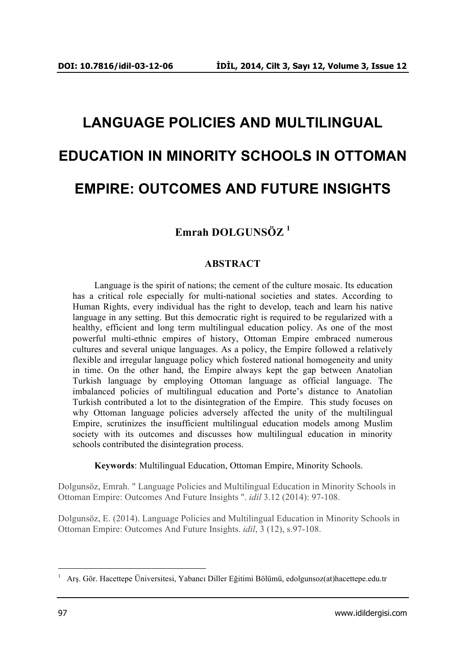# **LANGUAGE POLICIES AND MULTILINGUAL EDUCATION IN MINORITY SCHOOLS IN OTTOMAN EMPIRE: OUTCOMES AND FUTURE INSIGHTS**

# **Emrah DOLGUNSÖZ <sup>1</sup>**

# **ABSTRACT**

Language is the spirit of nations; the cement of the culture mosaic. Its education has a critical role especially for multi-national societies and states. According to Human Rights, every individual has the right to develop, teach and learn his native language in any setting. But this democratic right is required to be regularized with a healthy, efficient and long term multilingual education policy. As one of the most powerful multi-ethnic empires of history, Ottoman Empire embraced numerous cultures and several unique languages. As a policy, the Empire followed a relatively flexible and irregular language policy which fostered national homogeneity and unity in time. On the other hand, the Empire always kept the gap between Anatolian Turkish language by employing Ottoman language as official language. The imbalanced policies of multilingual education and Porte's distance to Anatolian Turkish contributed a lot to the disintegration of the Empire. This study focuses on why Ottoman language policies adversely affected the unity of the multilingual Empire, scrutinizes the insufficient multilingual education models among Muslim society with its outcomes and discusses how multilingual education in minority schools contributed the disintegration process.

**Keywords**: Multilingual Education, Ottoman Empire, Minority Schools.

Dolgunsöz, Emrah. " Language Policies and Multilingual Education in Minority Schools in Ottoman Empire: Outcomes And Future Insights ". *idil* 3.12 (2014): 97-108.

Dolgunsöz, E. (2014). Language Policies and Multilingual Education in Minority Schools in Ottoman Empire: Outcomes And Future Insights. *idil*, 3 (12), s.97-108.

 <sup>1</sup> Arş. Gör. Hacettepe Üniversitesi, Yabancı Diller Eğitimi Bölümü, edolgunsoz(at)hacettepe.edu.tr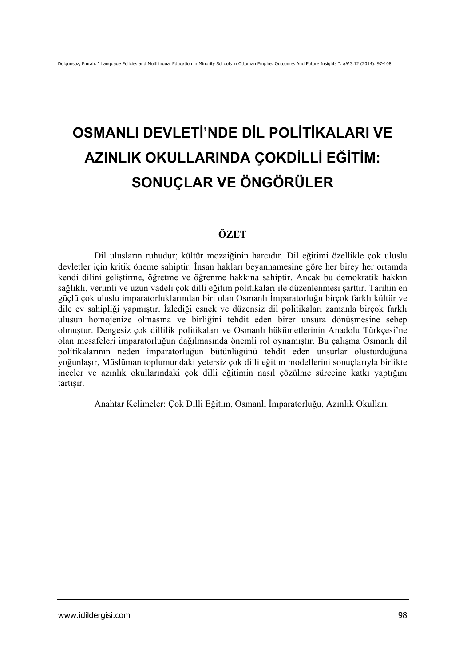# **OSMANLI DEVLETİ'NDE DİL POLİTİKALARI VE AZINLIK OKULLARINDA ÇOKDİLLİ EĞİTİM: SONUÇLAR VE ÖNGÖRÜLER**

# **ÖZET**

Dil ulusların ruhudur; kültür mozaiğinin harcıdır. Dil eğitimi özellikle çok uluslu devletler için kritik öneme sahiptir. İnsan hakları beyannamesine göre her birey her ortamda kendi dilini geliştirme, öğretme ve öğrenme hakkına sahiptir. Ancak bu demokratik hakkın sağlıklı, verimli ve uzun vadeli çok dilli eğitim politikaları ile düzenlenmesi şarttır. Tarihin en güçlü çok uluslu imparatorluklarından biri olan Osmanlı İmparatorluğu birçok farklı kültür ve dile ev sahipliği yapmıştır. İzlediği esnek ve düzensiz dil politikaları zamanla birçok farklı ulusun homojenize olmasına ve birliğini tehdit eden birer unsura dönüşmesine sebep olmuştur. Dengesiz çok dillilik politikaları ve Osmanlı hükümetlerinin Anadolu Türkçesi'ne olan mesafeleri imparatorluğun dağılmasında önemli rol oynamıştır. Bu çalışma Osmanlı dil politikalarının neden imparatorluğun bütünlüğünü tehdit eden unsurlar oluşturduğuna yoğunlaşır, Müslüman toplumundaki yetersiz çok dilli eğitim modellerini sonuçlarıyla birlikte inceler ve azınlık okullarındaki çok dilli eğitimin nasıl çözülme sürecine katkı yaptığını tartışır.

Anahtar Kelimeler: Çok Dilli Eğitim, Osmanlı İmparatorluğu, Azınlık Okulları.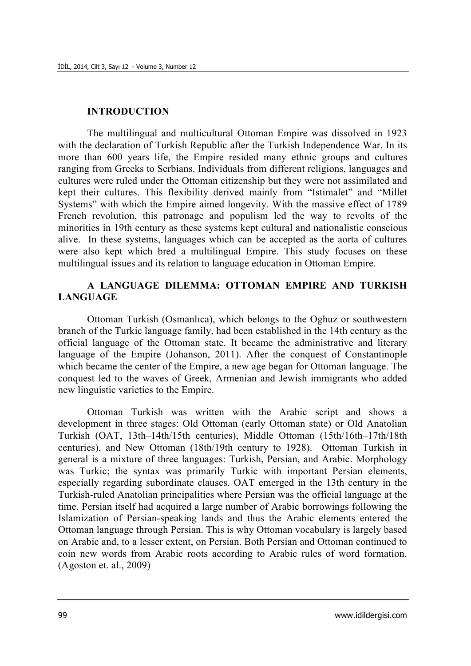#### **INTRODUCTION**

The multilingual and multicultural Ottoman Empire was dissolved in 1923 with the declaration of Turkish Republic after the Turkish Independence War. In its more than 600 years life, the Empire resided many ethnic groups and cultures ranging from Greeks to Serbians. Individuals from different religions, languages and cultures were ruled under the Ottoman citizenship but they were not assimilated and kept their cultures. This flexibility derived mainly from "Istimalet" and "Millet Systems" with which the Empire aimed longevity. With the massive effect of 1789 French revolution, this patronage and populism led the way to revolts of the minorities in 19th century as these systems kept cultural and nationalistic conscious alive. In these systems, languages which can be accepted as the aorta of cultures were also kept which bred a multilingual Empire. This study focuses on these multilingual issues and its relation to language education in Ottoman Empire.

# **A LANGUAGE DILEMMA: OTTOMAN EMPIRE AND TURKISH LANGUAGE**

Ottoman Turkish (Osmanlıca), which belongs to the Oghuz or southwestern branch of the Turkic language family, had been established in the 14th century as the official language of the Ottoman state. It became the administrative and literary language of the Empire (Johanson, 2011). After the conquest of Constantinople which became the center of the Empire, a new age began for Ottoman language. The conquest led to the waves of Greek, Armenian and Jewish immigrants who added new linguistic varieties to the Empire.

Ottoman Turkish was written with the Arabic script and shows a development in three stages: Old Ottoman (early Ottoman state) or Old Anatolian Turkish (OAT, 13th–14th/15th centuries), Middle Ottoman (15th/16th–17th/18th centuries), and New Ottoman (18th/19th century to 1928). Ottoman Turkish in general is a mixture of three languages: Turkish, Persian, and Arabic. Morphology was Turkic; the syntax was primarily Turkic with important Persian elements, especially regarding subordinate clauses. OAT emerged in the 13th century in the Turkish-ruled Anatolian principalities where Persian was the official language at the time. Persian itself had acquired a large number of Arabic borrowings following the Islamization of Persian-speaking lands and thus the Arabic elements entered the Ottoman language through Persian. This is why Ottoman vocabulary is largely based on Arabic and, to a lesser extent, on Persian. Both Persian and Ottoman continued to coin new words from Arabic roots according to Arabic rules of word formation. (Agoston et. al., 2009)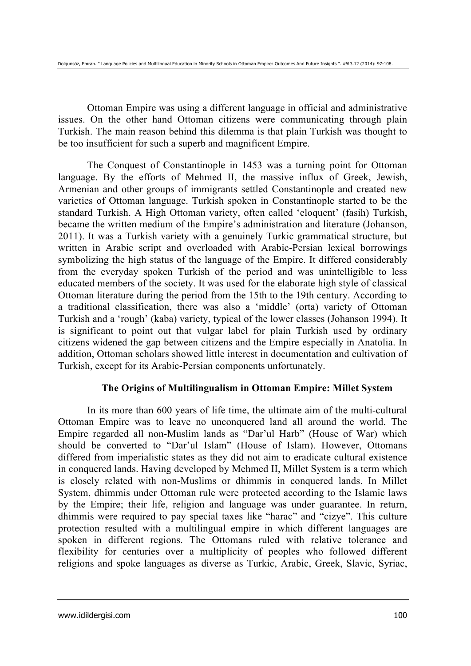Ottoman Empire was using a different language in official and administrative issues. On the other hand Ottoman citizens were communicating through plain Turkish. The main reason behind this dilemma is that plain Turkish was thought to be too insufficient for such a superb and magnificent Empire.

The Conquest of Constantinople in 1453 was a turning point for Ottoman language. By the efforts of Mehmed II, the massive influx of Greek, Jewish, Armenian and other groups of immigrants settled Constantinople and created new varieties of Ottoman language. Turkish spoken in Constantinople started to be the standard Turkish. A High Ottoman variety, often called 'eloquent' (fasih) Turkish, became the written medium of the Empire's administration and literature (Johanson, 2011). It was a Turkish variety with a genuinely Turkic grammatical structure, but written in Arabic script and overloaded with Arabic-Persian lexical borrowings symbolizing the high status of the language of the Empire. It differed considerably from the everyday spoken Turkish of the period and was unintelligible to less educated members of the society. It was used for the elaborate high style of classical Ottoman literature during the period from the 15th to the 19th century. According to a traditional classification, there was also a 'middle' (orta) variety of Ottoman Turkish and a 'rough' (kaba) variety, typical of the lower classes (Johanson 1994). It is significant to point out that vulgar label for plain Turkish used by ordinary citizens widened the gap between citizens and the Empire especially in Anatolia. In addition, Ottoman scholars showed little interest in documentation and cultivation of Turkish, except for its Arabic-Persian components unfortunately.

#### **The Origins of Multilingualism in Ottoman Empire: Millet System**

In its more than 600 years of life time, the ultimate aim of the multi-cultural Ottoman Empire was to leave no unconquered land all around the world. The Empire regarded all non-Muslim lands as "Dar'ul Harb" (House of War) which should be converted to "Dar'ul Islam" (House of Islam). However, Ottomans differed from imperialistic states as they did not aim to eradicate cultural existence in conquered lands. Having developed by Mehmed II, Millet System is a term which is closely related with non-Muslims or dhimmis in conquered lands. In Millet System, dhimmis under Ottoman rule were protected according to the Islamic laws by the Empire; their life, religion and language was under guarantee. In return, dhimmis were required to pay special taxes like "harac" and "cizye". This culture protection resulted with a multilingual empire in which different languages are spoken in different regions. The Ottomans ruled with relative tolerance and flexibility for centuries over a multiplicity of peoples who followed different religions and spoke languages as diverse as Turkic, Arabic, Greek, Slavic, Syriac,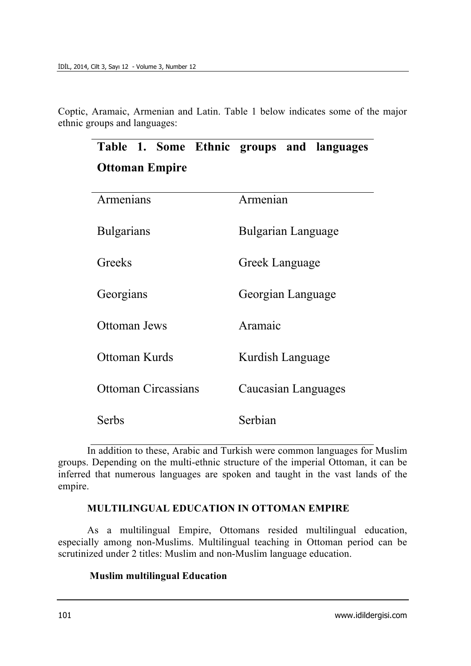Coptic, Aramaic, Armenian and Latin. Table 1 below indicates some of the major ethnic groups and languages:

|                            | Table 1. Some Ethnic groups and languages |
|----------------------------|-------------------------------------------|
| <b>Ottoman Empire</b>      |                                           |
|                            |                                           |
| Armenians                  | Armenian                                  |
|                            |                                           |
| <b>Bulgarians</b>          | Bulgarian Language                        |
|                            |                                           |
| Greeks                     | Greek Language                            |
| Georgians                  | Georgian Language                         |
|                            |                                           |
| Ottoman Jews               | Aramaic                                   |
|                            |                                           |
| Ottoman Kurds              | Kurdish Language                          |
| <b>Ottoman Circassians</b> |                                           |
|                            | Caucasian Languages                       |
| Serbs                      | Serbian                                   |
|                            |                                           |

In addition to these, Arabic and Turkish were common languages for Muslim groups. Depending on the multi-ethnic structure of the imperial Ottoman, it can be inferred that numerous languages are spoken and taught in the vast lands of the empire.

# **MULTILINGUAL EDUCATION IN OTTOMAN EMPIRE**

As a multilingual Empire, Ottomans resided multilingual education, especially among non-Muslims. Multilingual teaching in Ottoman period can be scrutinized under 2 titles: Muslim and non-Muslim language education.

#### **Muslim multilingual Education**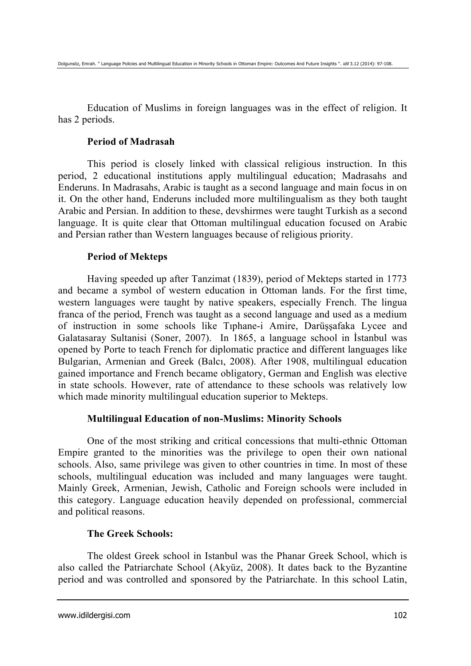Education of Muslims in foreign languages was in the effect of religion. It has 2 periods.

#### **Period of Madrasah**

This period is closely linked with classical religious instruction. In this period, 2 educational institutions apply multilingual education; Madrasahs and Enderuns. In Madrasahs, Arabic is taught as a second language and main focus in on it. On the other hand, Enderuns included more multilingualism as they both taught Arabic and Persian. In addition to these, devshirmes were taught Turkish as a second language. It is quite clear that Ottoman multilingual education focused on Arabic and Persian rather than Western languages because of religious priority.

# **Period of Mekteps**

Having speeded up after Tanzimat (1839), period of Mekteps started in 1773 and became a symbol of western education in Ottoman lands. For the first time, western languages were taught by native speakers, especially French. The lingua franca of the period, French was taught as a second language and used as a medium of instruction in some schools like Tıphane-i Amire, Darüşşafaka Lycee and Galatasaray Sultanisi (Soner, 2007). In 1865, a language school in İstanbul was opened by Porte to teach French for diplomatic practice and different languages like Bulgarian, Armenian and Greek (Balcı, 2008). After 1908, multilingual education gained importance and French became obligatory, German and English was elective in state schools. However, rate of attendance to these schools was relatively low which made minority multilingual education superior to Mekteps.

# **Multilingual Education of non-Muslims: Minority Schools**

One of the most striking and critical concessions that multi-ethnic Ottoman Empire granted to the minorities was the privilege to open their own national schools. Also, same privilege was given to other countries in time. In most of these schools, multilingual education was included and many languages were taught. Mainly Greek, Armenian, Jewish, Catholic and Foreign schools were included in this category. Language education heavily depended on professional, commercial and political reasons.

# **The Greek Schools:**

The oldest Greek school in Istanbul was the Phanar Greek School, which is also called the Patriarchate School (Akyüz, 2008). It dates back to the Byzantine period and was controlled and sponsored by the Patriarchate. In this school Latin,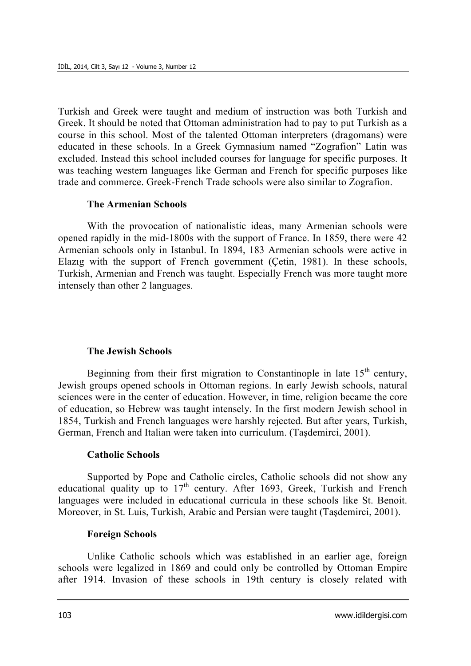Turkish and Greek were taught and medium of instruction was both Turkish and Greek. It should be noted that Ottoman administration had to pay to put Turkish as a course in this school. Most of the talented Ottoman interpreters (dragomans) were educated in these schools. In a Greek Gymnasium named "Zografion" Latin was excluded. Instead this school included courses for language for specific purposes. It was teaching western languages like German and French for specific purposes like trade and commerce. Greek-French Trade schools were also similar to Zografion.

#### **The Armenian Schools**

With the provocation of nationalistic ideas, many Armenian schools were opened rapidly in the mid-1800s with the support of France. In 1859, there were 42 Armenian schools only in Istanbul. In 1894, 183 Armenian schools were active in Elazıg with the support of French government (Çetin, 1981). In these schools, Turkish, Armenian and French was taught. Especially French was more taught more intensely than other 2 languages.

#### **The Jewish Schools**

Beginning from their first migration to Constantinople in late  $15<sup>th</sup>$  century, Jewish groups opened schools in Ottoman regions. In early Jewish schools, natural sciences were in the center of education. However, in time, religion became the core of education, so Hebrew was taught intensely. In the first modern Jewish school in 1854, Turkish and French languages were harshly rejected. But after years, Turkish, German, French and Italian were taken into curriculum. (Taşdemirci, 2001).

#### **Catholic Schools**

Supported by Pope and Catholic circles, Catholic schools did not show any educational quality up to  $17<sup>th</sup>$  century. After 1693, Greek, Turkish and French languages were included in educational curricula in these schools like St. Benoit. Moreover, in St. Luis, Turkish, Arabic and Persian were taught (Taşdemirci, 2001).

#### **Foreign Schools**

Unlike Catholic schools which was established in an earlier age, foreign schools were legalized in 1869 and could only be controlled by Ottoman Empire after 1914. Invasion of these schools in 19th century is closely related with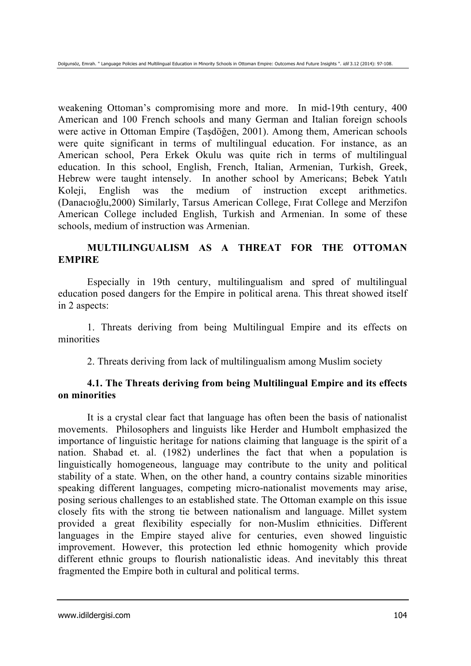weakening Ottoman's compromising more and more. In mid-19th century, 400 American and 100 French schools and many German and Italian foreign schools were active in Ottoman Empire (Taşdöğen, 2001). Among them, American schools were quite significant in terms of multilingual education. For instance, as an American school, Pera Erkek Okulu was quite rich in terms of multilingual education. In this school, English, French, Italian, Armenian, Turkish, Greek, Hebrew were taught intensely. In another school by Americans; Bebek Yatılı Koleji, English was the medium of instruction except arithmetics. (Danacıoğlu,2000) Similarly, Tarsus American College, Fırat College and Merzifon American College included English, Turkish and Armenian. In some of these schools, medium of instruction was Armenian.

# **MULTILINGUALISM AS A THREAT FOR THE OTTOMAN EMPIRE**

Especially in 19th century, multilingualism and spred of multilingual education posed dangers for the Empire in political arena. This threat showed itself in 2 aspects:

1. Threats deriving from being Multilingual Empire and its effects on minorities

2. Threats deriving from lack of multilingualism among Muslim society

# **4.1. The Threats deriving from being Multilingual Empire and its effects on minorities**

It is a crystal clear fact that language has often been the basis of nationalist movements. Philosophers and linguists like Herder and Humbolt emphasized the importance of linguistic heritage for nations claiming that language is the spirit of a nation. Shabad et. al. (1982) underlines the fact that when a population is linguistically homogeneous, language may contribute to the unity and political stability of a state. When, on the other hand, a country contains sizable minorities speaking different languages, competing micro-nationalist movements may arise, posing serious challenges to an established state. The Ottoman example on this issue closely fits with the strong tie between nationalism and language. Millet system provided a great flexibility especially for non-Muslim ethnicities. Different languages in the Empire stayed alive for centuries, even showed linguistic improvement. However, this protection led ethnic homogenity which provide different ethnic groups to flourish nationalistic ideas. And inevitably this threat fragmented the Empire both in cultural and political terms.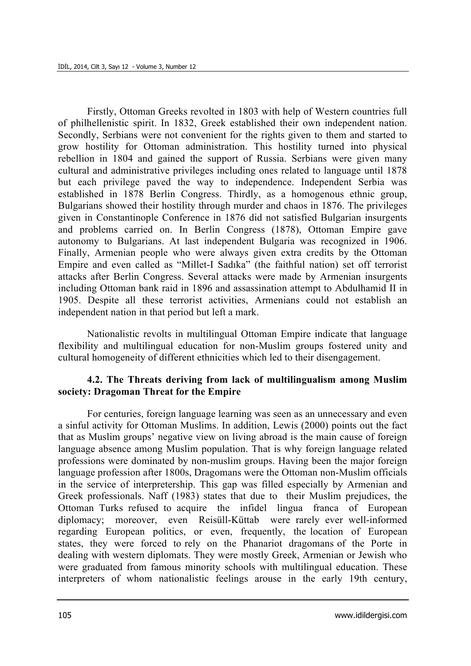Firstly, Ottoman Greeks revolted in 1803 with help of Western countries full of philhellenistic spirit. In 1832, Greek established their own independent nation. Secondly, Serbians were not convenient for the rights given to them and started to grow hostility for Ottoman administration. This hostility turned into physical rebellion in 1804 and gained the support of Russia. Serbians were given many cultural and administrative privileges including ones related to language until 1878 but each privilege paved the way to independence. Independent Serbia was established in 1878 Berlin Congress. Thirdly, as a homogenous ethnic group, Bulgarians showed their hostility through murder and chaos in 1876. The privileges given in Constantinople Conference in 1876 did not satisfied Bulgarian insurgents and problems carried on. In Berlin Congress (1878), Ottoman Empire gave autonomy to Bulgarians. At last independent Bulgaria was recognized in 1906. Finally, Armenian people who were always given extra credits by the Ottoman Empire and even called as "Millet-I Sadıka" (the faithful nation) set off terrorist attacks after Berlin Congress. Several attacks were made by Armenian insurgents including Ottoman bank raid in 1896 and assassination attempt to Abdulhamid II in 1905. Despite all these terrorist activities, Armenians could not establish an independent nation in that period but left a mark.

Nationalistic revolts in multilingual Ottoman Empire indicate that language flexibility and multilingual education for non-Muslim groups fostered unity and cultural homogeneity of different ethnicities which led to their disengagement.

# **4.2. The Threats deriving from lack of multilingualism among Muslim society: Dragoman Threat for the Empire**

For centuries, foreign language learning was seen as an unnecessary and even a sinful activity for Ottoman Muslims. In addition, Lewis (2000) points out the fact that as Muslim groups' negative view on living abroad is the main cause of foreign language absence among Muslim population. That is why foreign language related professions were dominated by non-muslim groups. Having been the major foreign language profession after 1800s, Dragomans were the Ottoman non-Muslim officials in the service of interpretership. This gap was filled especially by Armenian and Greek professionals. Naff (1983) states that due to their Muslim prejudices, the Ottoman Turks refused to acquire the infidel lingua franca of European diplomacy; moreover, even Reisüll-Küttab were rarely ever well-informed regarding European politics, or even, frequently, the location of European states, they were forced to rely on the Phanariot dragomans of the Porte in dealing with western diplomats. They were mostly Greek, Armenian or Jewish who were graduated from famous minority schools with multilingual education. These interpreters of whom nationalistic feelings arouse in the early 19th century,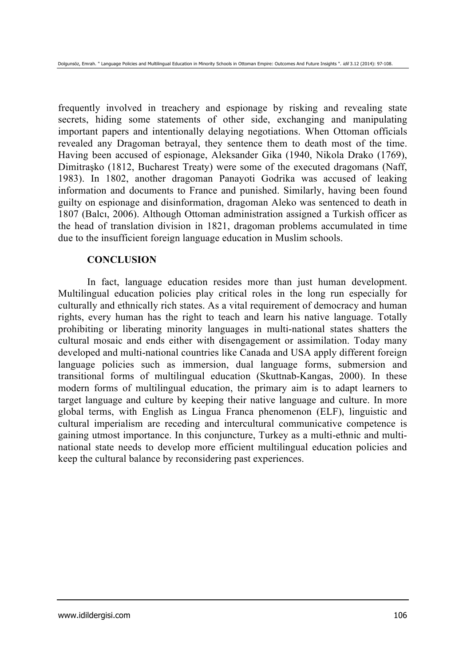frequently involved in treachery and espionage by risking and revealing state secrets, hiding some statements of other side, exchanging and manipulating important papers and intentionally delaying negotiations. When Ottoman officials revealed any Dragoman betrayal, they sentence them to death most of the time. Having been accused of espionage, Aleksander Gika (1940, Nikola Drako (1769), Dimitraşko (1812, Bucharest Treaty) were some of the executed dragomans (Naff, 1983). In 1802, another dragoman Panayoti Godrika was accused of leaking information and documents to France and punished. Similarly, having been found guilty on espionage and disinformation, dragoman Aleko was sentenced to death in 1807 (Balcı, 2006). Although Ottoman administration assigned a Turkish officer as the head of translation division in 1821, dragoman problems accumulated in time due to the insufficient foreign language education in Muslim schools.

#### **CONCLUSION**

In fact, language education resides more than just human development. Multilingual education policies play critical roles in the long run especially for culturally and ethnically rich states. As a vital requirement of democracy and human rights, every human has the right to teach and learn his native language. Totally prohibiting or liberating minority languages in multi-national states shatters the cultural mosaic and ends either with disengagement or assimilation. Today many developed and multi-national countries like Canada and USA apply different foreign language policies such as immersion, dual language forms, submersion and transitional forms of multilingual education (Skuttnab-Kangas, 2000). In these modern forms of multilingual education, the primary aim is to adapt learners to target language and culture by keeping their native language and culture. In more global terms, with English as Lingua Franca phenomenon (ELF), linguistic and cultural imperialism are receding and intercultural communicative competence is gaining utmost importance. In this conjuncture, Turkey as a multi-ethnic and multinational state needs to develop more efficient multilingual education policies and keep the cultural balance by reconsidering past experiences.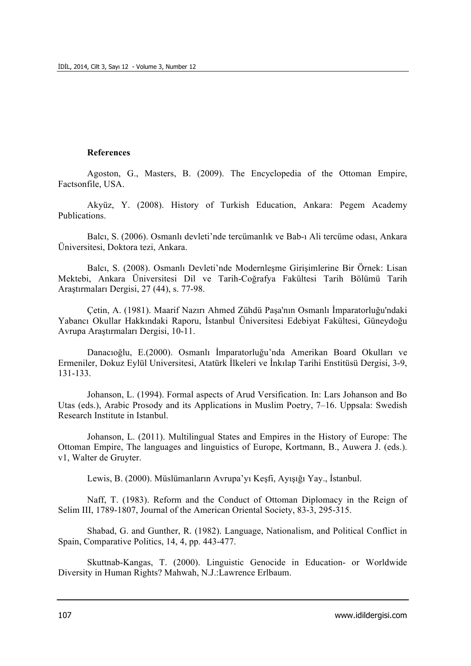#### **References**

Agoston, G., Masters, B. (2009). The Encyclopedia of the Ottoman Empire, Factsonfile, USA.

Akyüz, Y. (2008). History of Turkish Education, Ankara: Pegem Academy Publications.

Balcı, S. (2006). Osmanlı devleti'nde tercümanlık ve Bab-ı Ali tercüme odası, Ankara Üniversitesi, Doktora tezi, Ankara.

Balcı, S. (2008). Osmanlı Devleti'nde Modernleşme Girişimlerine Bir Örnek: Lisan Mektebi, Ankara Üniversitesi Dil ve Tarih-Coğrafya Fakültesi Tarih Bölümü Tarih Araştırmaları Dergisi, 27 (44), s. 77-98.

Çetin, A. (1981). Maarif Nazırı Ahmed Zühdü Paşa'nın Osmanlı İmparatorluğu'ndaki Yabancı Okullar Hakkındaki Raporu, İstanbul Üniversitesi Edebiyat Fakültesi, Güneydoğu Avrupa Araştırmaları Dergisi, 10-11.

Danacıoğlu, E.(2000). Osmanlı İmparatorluğu'nda Amerikan Board Okulları ve Ermeniler, Dokuz Eylül Universitesi, Atatürk İlkeleri ve İnkılap Tarihi Enstitüsü Dergisi, 3-9, 131-133.

Johanson, L. (1994). Formal aspects of Arud Versification. In: Lars Johanson and Bo Utas (eds.), Arabic Prosody and its Applications in Muslim Poetry, 7–16. Uppsala: Swedish Research Institute in Istanbul.

Johanson, L. (2011). Multilingual States and Empires in the History of Europe: The Ottoman Empire, The languages and linguistics of Europe, Kortmann, B., Auwera J. (eds.). v1, Walter de Gruyter.

Lewis, B. (2000). Müslümanların Avrupa'yı Keşfi, Ayışığı Yay., İstanbul.

Naff, T. (1983). Reform and the Conduct of Ottoman Diplomacy in the Reign of Selim III, 1789-1807, Journal of the American Oriental Society, 83-3, 295-315.

Shabad, G. and Gunther, R. (1982). Language, Nationalism, and Political Conflict in Spain, Comparative Politics, 14, 4, pp. 443-477.

Skuttnab-Kangas, T. (2000). Linguistic Genocide in Education- or Worldwide Diversity in Human Rights? Mahwah, N.J.:Lawrence Erlbaum.